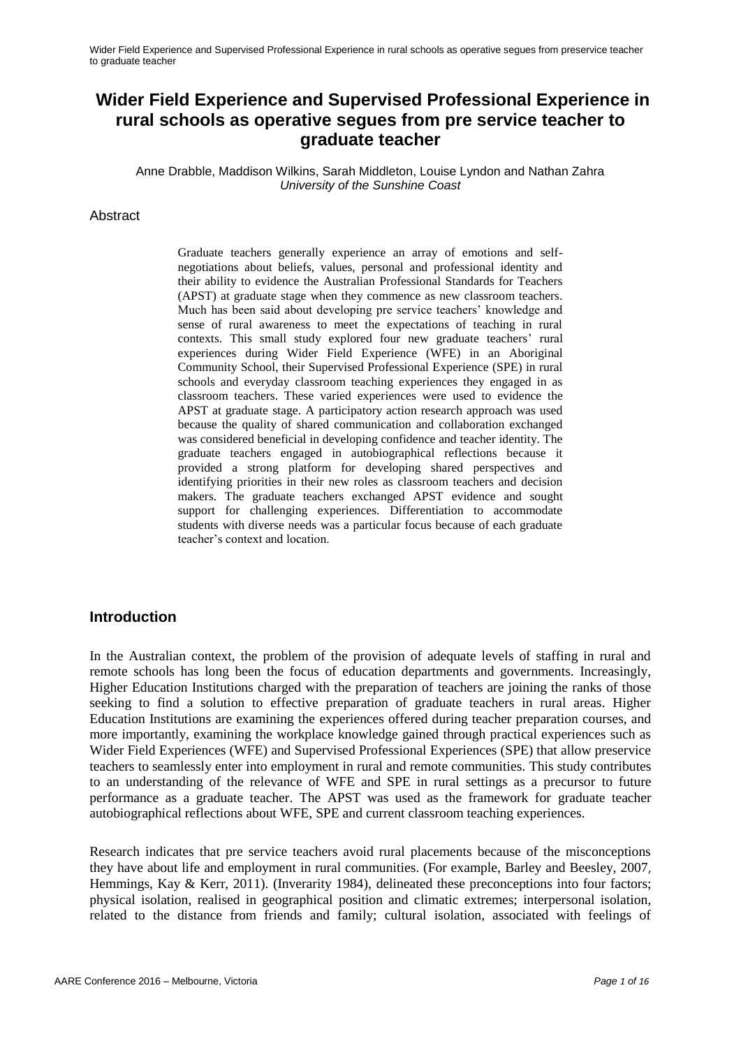Anne Drabble, Maddison Wilkins, Sarah Middleton, Louise Lyndon and Nathan Zahra *University of the Sunshine Coast*

#### Abstract

Graduate teachers generally experience an array of emotions and selfnegotiations about beliefs, values, personal and professional identity and their ability to evidence the Australian Professional Standards for Teachers (APST) at graduate stage when they commence as new classroom teachers. Much has been said about developing pre service teachers" knowledge and sense of rural awareness to meet the expectations of teaching in rural contexts. This small study explored four new graduate teachers' rural experiences during Wider Field Experience (WFE) in an Aboriginal Community School, their Supervised Professional Experience (SPE) in rural schools and everyday classroom teaching experiences they engaged in as classroom teachers. These varied experiences were used to evidence the APST at graduate stage. A participatory action research approach was used because the quality of shared communication and collaboration exchanged was considered beneficial in developing confidence and teacher identity. The graduate teachers engaged in autobiographical reflections because it provided a strong platform for developing shared perspectives and identifying priorities in their new roles as classroom teachers and decision makers. The graduate teachers exchanged APST evidence and sought support for challenging experiences. Differentiation to accommodate students with diverse needs was a particular focus because of each graduate teacher"s context and location.

### **Introduction**

In the Australian context, the problem of the provision of adequate levels of staffing in rural and remote schools has long been the focus of education departments and governments. Increasingly, Higher Education Institutions charged with the preparation of teachers are joining the ranks of those seeking to find a solution to effective preparation of graduate teachers in rural areas. Higher Education Institutions are examining the experiences offered during teacher preparation courses, and more importantly, examining the workplace knowledge gained through practical experiences such as Wider Field Experiences (WFE) and Supervised Professional Experiences (SPE) that allow preservice teachers to seamlessly enter into employment in rural and remote communities. This study contributes to an understanding of the relevance of WFE and SPE in rural settings as a precursor to future performance as a graduate teacher. The APST was used as the framework for graduate teacher autobiographical reflections about WFE, SPE and current classroom teaching experiences.

Research indicates that pre service teachers avoid rural placements because of the misconceptions they have about life and employment in rural communities. (For example, [Barley and Beesley, 2007](http://www.sciencedirect.com.ezproxy.usc.edu.au:2048/science/article/pii/S0742051X1000123X#bib10), Hemmings, Kay & Kerr, 2011). (Inverarity 1984), delineated these preconceptions into four factors; physical isolation, realised in geographical position and climatic extremes; interpersonal isolation, related to the distance from friends and family; cultural isolation, associated with feelings of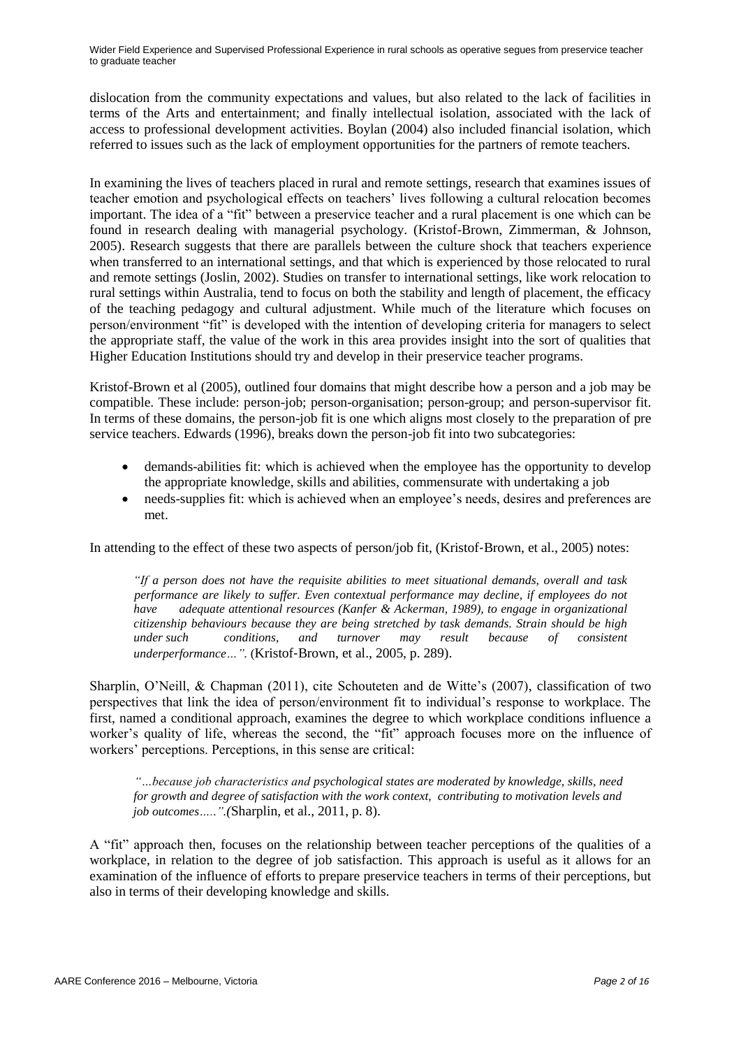dislocation from the community expectations and values, but also related to the lack of facilities in terms of the Arts and entertainment; and finally intellectual isolation, associated with the lack of access to professional development activities. Boylan (2004) also included financial isolation, which referred to issues such as the lack of employment opportunities for the partners of remote teachers.

In examining the lives of teachers placed in rural and remote settings, research that examines issues of teacher emotion and psychological effects on teachers" lives following a cultural relocation becomes important. The idea of a "fit" between a preservice teacher and a rural placement is one which can be found in research dealing with managerial psychology. (Kristof-Brown, Zimmerman, & Johnson, 2005). Research suggests that there are parallels between the culture shock that teachers experience when transferred to an international settings, and that which is experienced by those relocated to rural and remote settings (Joslin, 2002). Studies on transfer to international settings, like work relocation to rural settings within Australia, tend to focus on both the stability and length of placement, the efficacy of the teaching pedagogy and cultural adjustment. While much of the literature which focuses on person/environment "fit" is developed with the intention of developing criteria for managers to select the appropriate staff, the value of the work in this area provides insight into the sort of qualities that Higher Education Institutions should try and develop in their preservice teacher programs.

Kristof-Brown et al (2005), outlined four domains that might describe how a person and a job may be compatible. These include: person-job; person-organisation; person-group; and person-supervisor fit. In terms of these domains, the person-job fit is one which aligns most closely to the preparation of pre service teachers. Edwards (1996), breaks down the person-job fit into two subcategories:

- demands-abilities fit: which is achieved when the employee has the opportunity to develop the appropriate knowledge, skills and abilities, commensurate with undertaking a job
- needs-supplies fit: which is achieved when an employee's needs, desires and preferences are met.

In attending to the effect of these two aspects of person/job fit, (Kristof-Brown, et al., 2005) notes:

 *"If a person does not have the requisite abilities to meet situational demands, overall and task performance are likely to suffer. Even contextual performance may decline, if employees do not have adequate attentional resources (Kanfer & Ackerman, 1989), to engage in organizational citizenship behaviours because they are being stretched by task demands. Strain should be high under such conditions, and turnover may result because of consistent underperformance…".* (Kristof‐Brown, et al., 2005, p. 289).

Sharplin, O'Neill, & Chapman (2011), cite Schouteten and de Witte's (2007), classification of two perspectives that link the idea of person/environment fit to individual"s response to workplace. The first, named a conditional approach, examines the degree to which workplace conditions influence a worker"s quality of life, whereas the second, the "fit" approach focuses more on the influence of workers' perceptions. Perceptions, in this sense are critical:

*"…because job characteristics and psychological states are moderated by knowledge, skills, need for growth and degree of satisfaction with the work context, contributing to motivation levels and job outcomes…..".(*Sharplin, et al., 2011, p. 8).

A "fit" approach then, focuses on the relationship between teacher perceptions of the qualities of a workplace, in relation to the degree of job satisfaction. This approach is useful as it allows for an examination of the influence of efforts to prepare preservice teachers in terms of their perceptions, but also in terms of their developing knowledge and skills.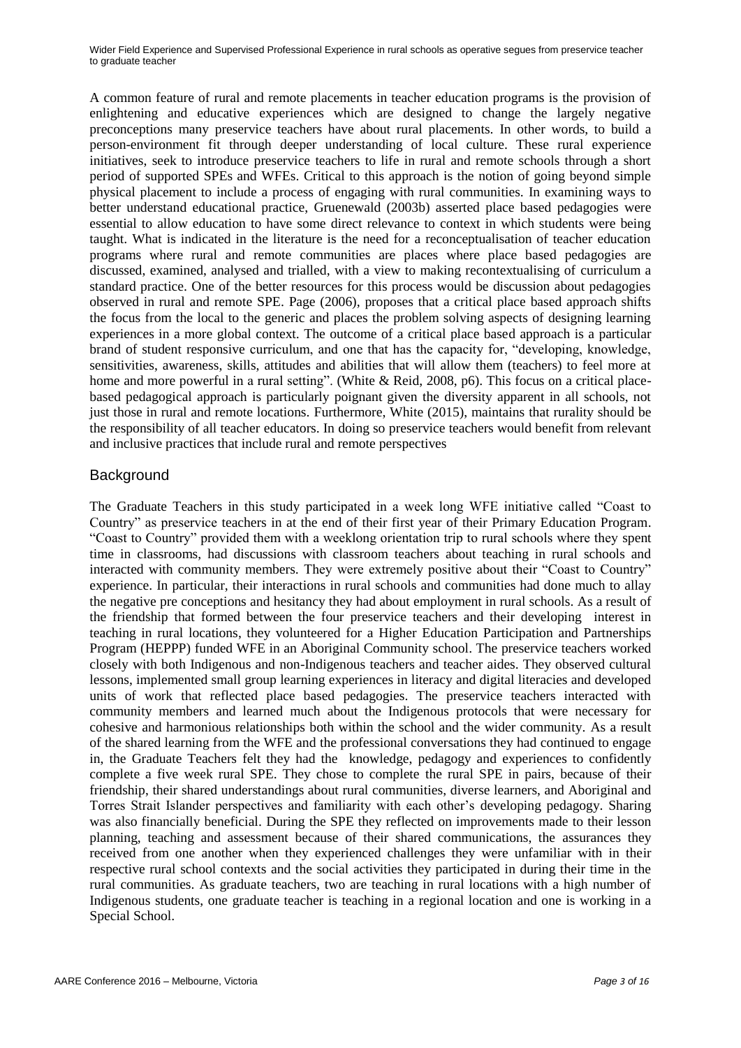A common feature of rural and remote placements in teacher education programs is the provision of enlightening and educative experiences which are designed to change the largely negative preconceptions many preservice teachers have about rural placements. In other words, to build a person-environment fit through deeper understanding of local culture. These rural experience initiatives, seek to introduce preservice teachers to life in rural and remote schools through a short period of supported SPEs and WFEs. Critical to this approach is the notion of going beyond simple physical placement to include a process of engaging with rural communities. In examining ways to better understand educational practice, Gruenewald (2003b) asserted place based pedagogies were essential to allow education to have some direct relevance to context in which students were being taught. What is indicated in the literature is the need for a reconceptualisation of teacher education programs where rural and remote communities are places where place based pedagogies are discussed, examined, analysed and trialled, with a view to making recontextualising of curriculum a standard practice. One of the better resources for this process would be discussion about pedagogies observed in rural and remote SPE. Page (2006), proposes that a critical place based approach shifts the focus from the local to the generic and places the problem solving aspects of designing learning experiences in a more global context. The outcome of a critical place based approach is a particular brand of student responsive curriculum, and one that has the capacity for, "developing, knowledge, sensitivities, awareness, skills, attitudes and abilities that will allow them (teachers) to feel more at home and more powerful in a rural setting". (White & Reid, 2008, p6). This focus on a critical placebased pedagogical approach is particularly poignant given the diversity apparent in all schools, not just those in rural and remote locations. Furthermore, White (2015), maintains that rurality should be the responsibility of all teacher educators. In doing so preservice teachers would benefit from relevant and inclusive practices that include rural and remote perspectives

### **Background**

The Graduate Teachers in this study participated in a week long WFE initiative called "Coast to Country" as preservice teachers in at the end of their first year of their Primary Education Program. "Coast to Country" provided them with a weeklong orientation trip to rural schools where they spent time in classrooms, had discussions with classroom teachers about teaching in rural schools and interacted with community members. They were extremely positive about their "Coast to Country" experience. In particular, their interactions in rural schools and communities had done much to allay the negative pre conceptions and hesitancy they had about employment in rural schools. As a result of the friendship that formed between the four preservice teachers and their developing interest in teaching in rural locations, they volunteered for a Higher Education Participation and Partnerships Program (HEPPP) funded WFE in an Aboriginal Community school. The preservice teachers worked closely with both Indigenous and non-Indigenous teachers and teacher aides. They observed cultural lessons, implemented small group learning experiences in literacy and digital literacies and developed units of work that reflected place based pedagogies. The preservice teachers interacted with community members and learned much about the Indigenous protocols that were necessary for cohesive and harmonious relationships both within the school and the wider community. As a result of the shared learning from the WFE and the professional conversations they had continued to engage in, the Graduate Teachers felt they had the knowledge, pedagogy and experiences to confidently complete a five week rural SPE. They chose to complete the rural SPE in pairs, because of their friendship, their shared understandings about rural communities, diverse learners, and Aboriginal and Torres Strait Islander perspectives and familiarity with each other"s developing pedagogy. Sharing was also financially beneficial. During the SPE they reflected on improvements made to their lesson planning, teaching and assessment because of their shared communications, the assurances they received from one another when they experienced challenges they were unfamiliar with in their respective rural school contexts and the social activities they participated in during their time in the rural communities. As graduate teachers, two are teaching in rural locations with a high number of Indigenous students, one graduate teacher is teaching in a regional location and one is working in a Special School.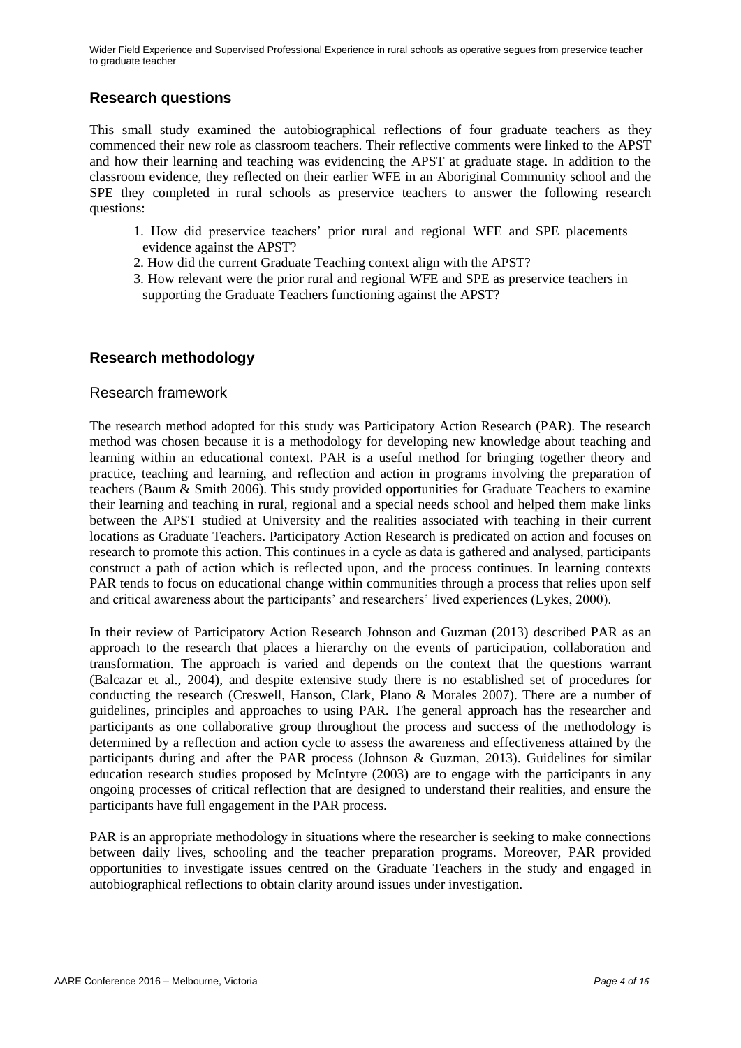# **Research questions**

This small study examined the autobiographical reflections of four graduate teachers as they commenced their new role as classroom teachers. Their reflective comments were linked to the APST and how their learning and teaching was evidencing the APST at graduate stage. In addition to the classroom evidence, they reflected on their earlier WFE in an Aboriginal Community school and the SPE they completed in rural schools as preservice teachers to answer the following research questions:

- 1. How did preservice teachers" prior rural and regional WFE and SPE placements evidence against the APST?
- 2. How did the current Graduate Teaching context align with the APST?
- 3. How relevant were the prior rural and regional WFE and SPE as preservice teachers in supporting the Graduate Teachers functioning against the APST?

# **Research methodology**

### Research framework

The research method adopted for this study was Participatory Action Research (PAR). The research method was chosen because it is a methodology for developing new knowledge about teaching and learning within an educational context. PAR is a useful method for bringing together theory and practice, teaching and learning, and reflection and action in programs involving the preparation of teachers (Baum & Smith 2006). This study provided opportunities for Graduate Teachers to examine their learning and teaching in rural, regional and a special needs school and helped them make links between the APST studied at University and the realities associated with teaching in their current locations as Graduate Teachers. Participatory Action Research is predicated on action and focuses on research to promote this action. This continues in a cycle as data is gathered and analysed, participants construct a path of action which is reflected upon, and the process continues. In learning contexts PAR tends to focus on educational change within communities through a process that relies upon self and critical awareness about the participants' and researchers' lived experiences (Lykes, 2000).

In their review of Participatory Action Research Johnson and Guzman (2013) described PAR as an approach to the research that places a hierarchy on the events of participation, collaboration and transformation. The approach is varied and depends on the context that the questions warrant (Balcazar et al., 2004), and despite extensive study there is no established set of procedures for conducting the research (Creswell, Hanson, Clark, Plano & Morales 2007). There are a number of guidelines, principles and approaches to using PAR. The general approach has the researcher and participants as one collaborative group throughout the process and success of the methodology is determined by a reflection and action cycle to assess the awareness and effectiveness attained by the participants during and after the PAR process (Johnson & Guzman, 2013). Guidelines for similar education research studies proposed by McIntyre (2003) are to engage with the participants in any ongoing processes of critical reflection that are designed to understand their realities, and ensure the participants have full engagement in the PAR process.

PAR is an appropriate methodology in situations where the researcher is seeking to make connections between daily lives, schooling and the teacher preparation programs. Moreover, PAR provided opportunities to investigate issues centred on the Graduate Teachers in the study and engaged in autobiographical reflections to obtain clarity around issues under investigation.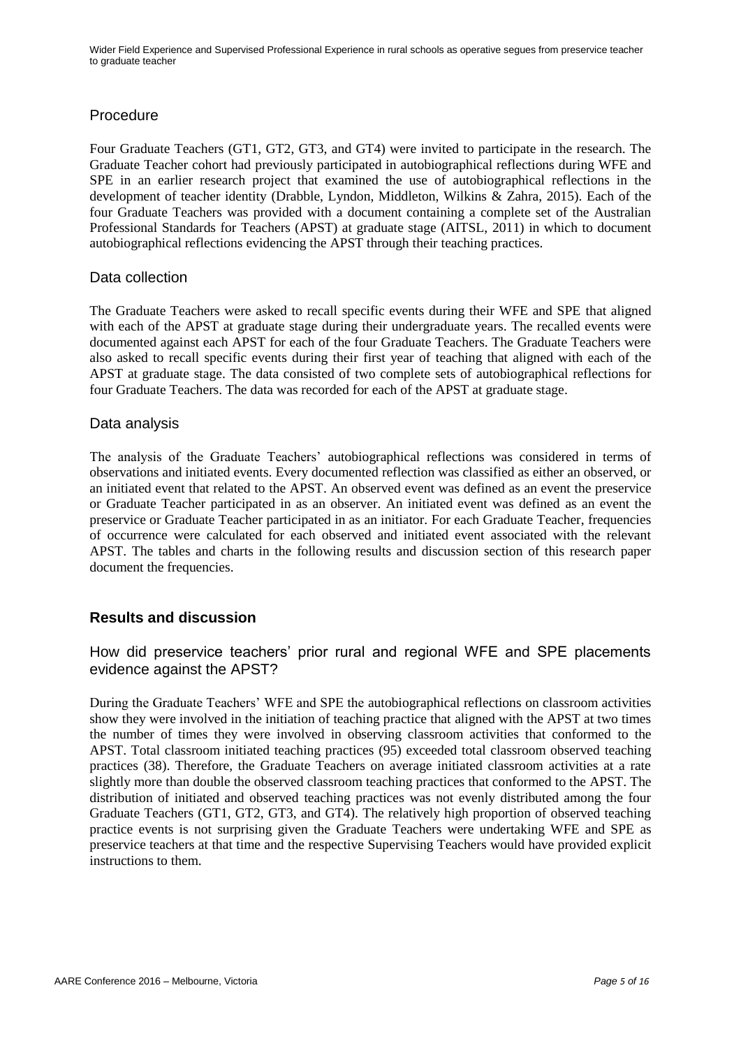### Procedure

Four Graduate Teachers (GT1, GT2, GT3, and GT4) were invited to participate in the research. The Graduate Teacher cohort had previously participated in autobiographical reflections during WFE and SPE in an earlier research project that examined the use of autobiographical reflections in the development of teacher identity (Drabble, Lyndon, Middleton, Wilkins & Zahra, 2015). Each of the four Graduate Teachers was provided with a document containing a complete set of the Australian Professional Standards for Teachers (APST) at graduate stage (AITSL, 2011) in which to document autobiographical reflections evidencing the APST through their teaching practices.

### Data collection

The Graduate Teachers were asked to recall specific events during their WFE and SPE that aligned with each of the APST at graduate stage during their undergraduate years. The recalled events were documented against each APST for each of the four Graduate Teachers. The Graduate Teachers were also asked to recall specific events during their first year of teaching that aligned with each of the APST at graduate stage. The data consisted of two complete sets of autobiographical reflections for four Graduate Teachers. The data was recorded for each of the APST at graduate stage.

### Data analysis

The analysis of the Graduate Teachers" autobiographical reflections was considered in terms of observations and initiated events. Every documented reflection was classified as either an observed, or an initiated event that related to the APST. An observed event was defined as an event the preservice or Graduate Teacher participated in as an observer. An initiated event was defined as an event the preservice or Graduate Teacher participated in as an initiator. For each Graduate Teacher, frequencies of occurrence were calculated for each observed and initiated event associated with the relevant APST. The tables and charts in the following results and discussion section of this research paper document the frequencies.

### **Results and discussion**

# How did preservice teachers' prior rural and regional WFE and SPE placements evidence against the APST?

During the Graduate Teachers" WFE and SPE the autobiographical reflections on classroom activities show they were involved in the initiation of teaching practice that aligned with the APST at two times the number of times they were involved in observing classroom activities that conformed to the APST. Total classroom initiated teaching practices (95) exceeded total classroom observed teaching practices (38). Therefore, the Graduate Teachers on average initiated classroom activities at a rate slightly more than double the observed classroom teaching practices that conformed to the APST. The distribution of initiated and observed teaching practices was not evenly distributed among the four Graduate Teachers (GT1, GT2, GT3, and GT4). The relatively high proportion of observed teaching practice events is not surprising given the Graduate Teachers were undertaking WFE and SPE as preservice teachers at that time and the respective Supervising Teachers would have provided explicit instructions to them.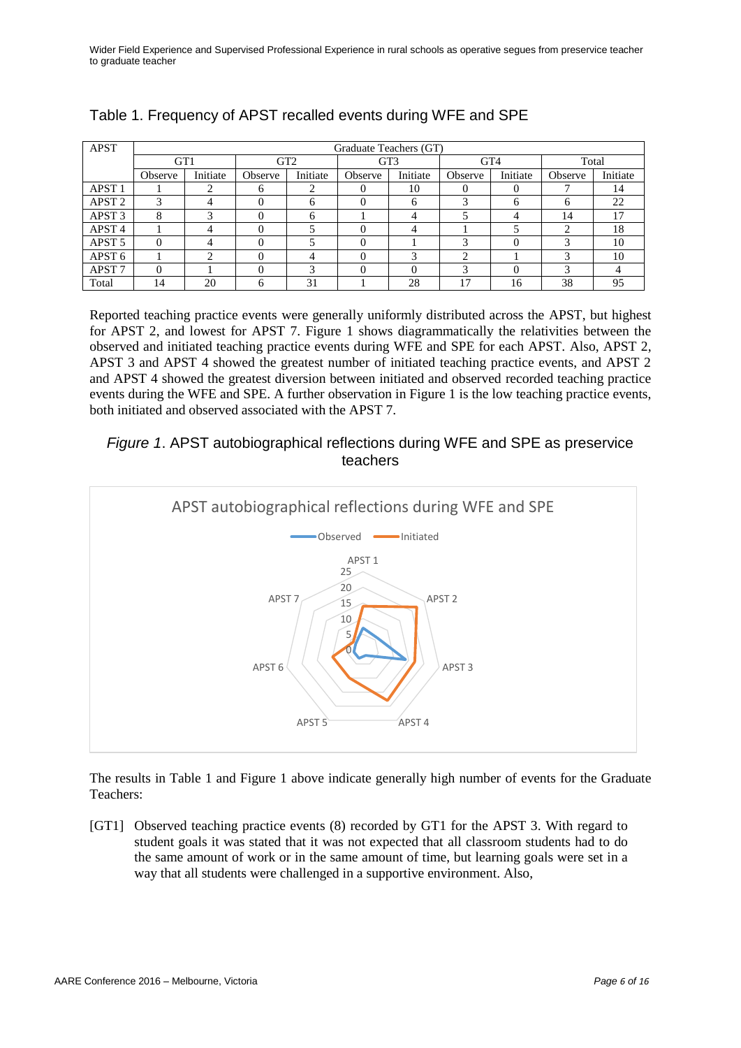| <b>APST</b>       | Graduate Teachers (GT) |          |                 |              |                 |          |                 |          |         |          |
|-------------------|------------------------|----------|-----------------|--------------|-----------------|----------|-----------------|----------|---------|----------|
|                   | GT1                    |          | GT <sub>2</sub> |              | GT <sub>3</sub> |          | GT <sub>4</sub> |          | Total   |          |
|                   | Observe                | Initiate | Observe         | Initiate     | Observe         | Initiate | Observe         | Initiate | Observe | Initiate |
| APST <sub>1</sub> |                        | ◠        | 6               | ◠            | $\Omega$        | 10       |                 | U        | −       | 14       |
| APST <sub>2</sub> | 3                      | 4        |                 | <sub>6</sub> | $\Omega$        | 6        |                 | 6        | 6       | 22       |
| APST <sub>3</sub> | 8                      |          |                 | <sub>6</sub> |                 |          |                 | 4        | 14      | 17       |
| APST <sub>4</sub> |                        | 4        |                 |              | $\Omega$        | 4        |                 |          | ◠       | 18       |
| APST <sub>5</sub> |                        | 4        |                 |              | $\theta$        |          |                 | $\theta$ | ◠       | 10       |
| APST <sub>6</sub> |                        | ◠        |                 | 4            | $\Omega$        | 3        | $\sim$          |          | 2       | 10       |
| APST <sub>7</sub> |                        |          |                 | з            | $\Omega$        | 0        | ◠               | 0        | 3       |          |
| Total             | 14                     | 20       | 6               | 31           |                 | 28       | 7               | 16       | 38      | 95       |

# Table 1. Frequency of APST recalled events during WFE and SPE

Reported teaching practice events were generally uniformly distributed across the APST, but highest for APST 2, and lowest for APST 7. Figure 1 shows diagrammatically the relativities between the observed and initiated teaching practice events during WFE and SPE for each APST. Also, APST 2, APST 3 and APST 4 showed the greatest number of initiated teaching practice events, and APST 2 and APST 4 showed the greatest diversion between initiated and observed recorded teaching practice events during the WFE and SPE. A further observation in Figure 1 is the low teaching practice events, both initiated and observed associated with the APST 7.

# *Figure 1*. APST autobiographical reflections during WFE and SPE as preservice teachers



The results in Table 1 and Figure 1 above indicate generally high number of events for the Graduate Teachers:

[GT1] Observed teaching practice events (8) recorded by GT1 for the APST 3. With regard to student goals it was stated that it was not expected that all classroom students had to do the same amount of work or in the same amount of time, but learning goals were set in a way that all students were challenged in a supportive environment. Also,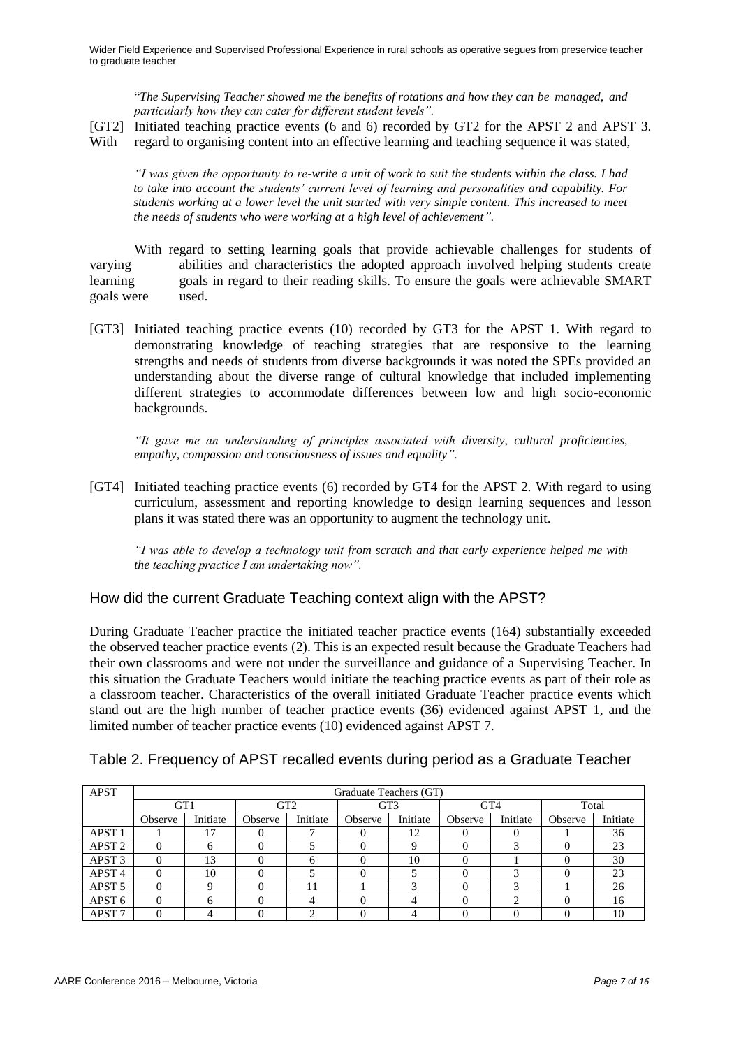"*The Supervising Teacher showed me the benefits of rotations and how they can be managed, and particularly how they can cater for different student levels".*

- [GT2] Initiated teaching practice events (6 and 6) recorded by GT2 for the APST 2 and APST 3.
- With regard to organising content into an effective learning and teaching sequence it was stated,

*"I was given the opportunity to re-write a unit of work to suit the students within the class. I had to take into account the students' current level of learning and personalities and capability. For students working at a lower level the unit started with very simple content. This increased to meet the needs of students who were working at a high level of achievement".*

With regard to setting learning goals that provide achievable challenges for students of varying abilities and characteristics the adopted approach involved helping students create learning goals in regard to their reading skills. To ensure the goals were achievable SMART goals were used.

[GT3] Initiated teaching practice events (10) recorded by GT3 for the APST 1. With regard to demonstrating knowledge of teaching strategies that are responsive to the learning strengths and needs of students from diverse backgrounds it was noted the SPEs provided an understanding about the diverse range of cultural knowledge that included implementing different strategies to accommodate differences between low and high socio-economic backgrounds.

*"It gave me an understanding of principles associated with diversity, cultural proficiencies, empathy, compassion and consciousness of issues and equality".*

[GT4] Initiated teaching practice events (6) recorded by GT4 for the APST 2. With regard to using curriculum, assessment and reporting knowledge to design learning sequences and lesson plans it was stated there was an opportunity to augment the technology unit.

*"I was able to develop a technology unit from scratch and that early experience helped me with the teaching practice I am undertaking now".*

# How did the current Graduate Teaching context align with the APST?

During Graduate Teacher practice the initiated teacher practice events (164) substantially exceeded the observed teacher practice events (2). This is an expected result because the Graduate Teachers had their own classrooms and were not under the surveillance and guidance of a Supervising Teacher. In this situation the Graduate Teachers would initiate the teaching practice events as part of their role as a classroom teacher. Characteristics of the overall initiated Graduate Teacher practice events which stand out are the high number of teacher practice events (36) evidenced against APST 1, and the limited number of teacher practice events (10) evidenced against APST 7.

| <b>APST</b>       | Graduate Teachers (GT) |              |                 |          |         |          |                 |          |         |          |  |
|-------------------|------------------------|--------------|-----------------|----------|---------|----------|-----------------|----------|---------|----------|--|
|                   | GT1                    |              | GT <sub>2</sub> |          | GT3     |          | GT <sub>4</sub> |          | Total   |          |  |
|                   | Observe                | Initiate     | Observe         | Initiate | Observe | Initiate | Observe         | Initiate | Observe | Initiate |  |
| APST <sub>1</sub> |                        | 7            |                 |          |         | 12       |                 | 0        |         | 36       |  |
| APST <sub>2</sub> |                        | <sub>(</sub> |                 |          |         | Q        |                 | ◠        |         | 23       |  |
| APST <sub>3</sub> | 0                      | 13           |                 | 6        |         | 10       |                 |          |         | 30       |  |
| APST <sub>4</sub> |                        | 10           |                 |          |         |          |                 | ◠        |         | 23       |  |
| APST <sub>5</sub> |                        |              |                 |          |         | ⌒        |                 | 2        |         | 26       |  |
| APST <sub>6</sub> |                        |              |                 | 4        |         |          |                 | ◠        |         | 16       |  |
| APST <sub>7</sub> |                        |              |                 |          |         |          |                 |          |         | 10       |  |

Table 2. Frequency of APST recalled events during period as a Graduate Teacher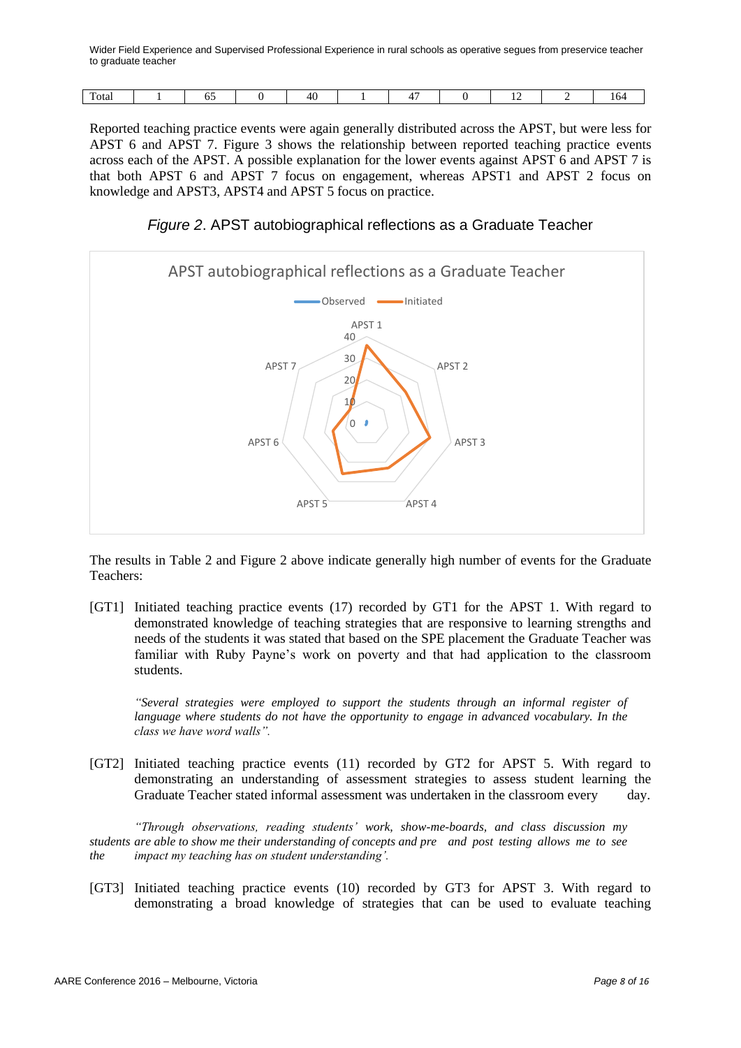| m<br>Totar | -<br>ິ | . |  | . . |  |
|------------|--------|---|--|-----|--|
|            |        |   |  |     |  |

Reported teaching practice events were again generally distributed across the APST, but were less for APST 6 and APST 7. Figure 3 shows the relationship between reported teaching practice events across each of the APST. A possible explanation for the lower events against APST 6 and APST 7 is that both APST 6 and APST 7 focus on engagement, whereas APST1 and APST 2 focus on knowledge and APST3, APST4 and APST 5 focus on practice.

*Figure 2*. APST autobiographical reflections as a Graduate Teacher



The results in Table 2 and Figure 2 above indicate generally high number of events for the Graduate Teachers:

[GT1] Initiated teaching practice events (17) recorded by GT1 for the APST 1. With regard to demonstrated knowledge of teaching strategies that are responsive to learning strengths and needs of the students it was stated that based on the SPE placement the Graduate Teacher was familiar with Ruby Payne"s work on poverty and that had application to the classroom students.

*"Several strategies were employed to support the students through an informal register of language where students do not have the opportunity to engage in advanced vocabulary. In the class we have word walls".*

[GT2] Initiated teaching practice events (11) recorded by GT2 for APST 5. With regard to demonstrating an understanding of assessment strategies to assess student learning the Graduate Teacher stated informal assessment was undertaken in the classroom every day.

*"Through observations, reading students' work, show-me-boards, and class discussion my students are able to show me their understanding of concepts and pre and post testing allows me to see the impact my teaching has on student understanding'.*

[GT3] Initiated teaching practice events (10) recorded by GT3 for APST 3. With regard to demonstrating a broad knowledge of strategies that can be used to evaluate teaching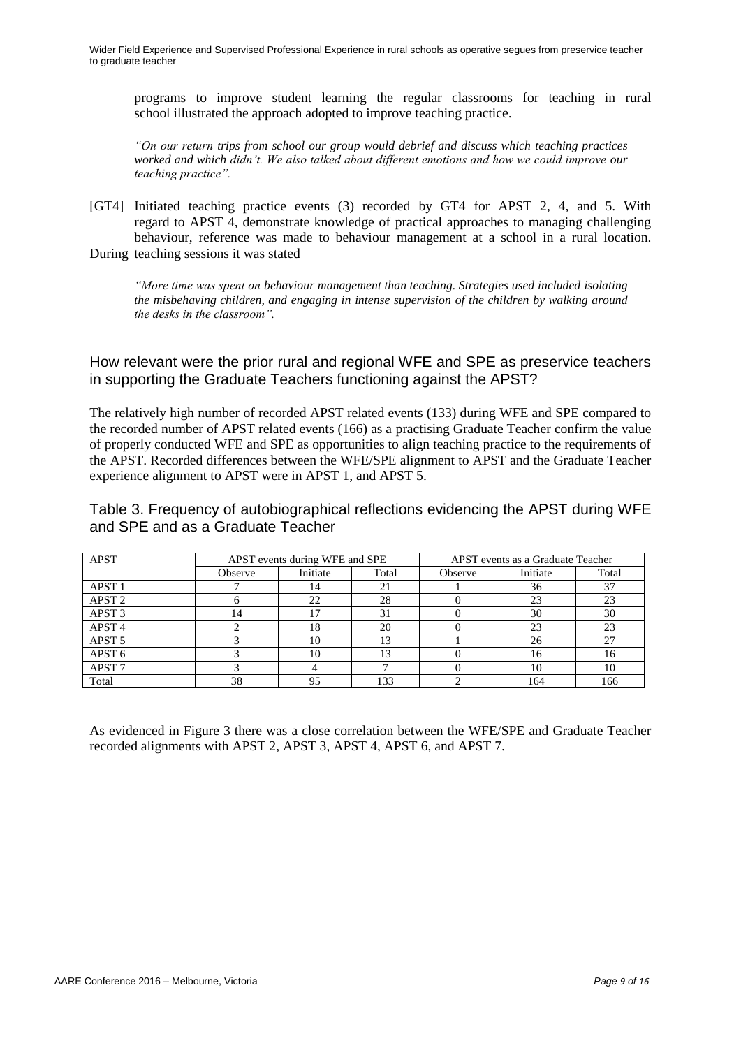programs to improve student learning the regular classrooms for teaching in rural school illustrated the approach adopted to improve teaching practice.

*"On our return trips from school our group would debrief and discuss which teaching practices worked and which didn't. We also talked about different emotions and how we could improve our teaching practice".*

[GT4] Initiated teaching practice events (3) recorded by GT4 for APST 2, 4, and 5. With regard to APST 4, demonstrate knowledge of practical approaches to managing challenging behaviour, reference was made to behaviour management at a school in a rural location. During teaching sessions it was stated

*"More time was spent on behaviour management than teaching. Strategies used included isolating the misbehaving children, and engaging in intense supervision of the children by walking around the desks in the classroom".*

How relevant were the prior rural and regional WFE and SPE as preservice teachers in supporting the Graduate Teachers functioning against the APST?

The relatively high number of recorded APST related events (133) during WFE and SPE compared to the recorded number of APST related events (166) as a practising Graduate Teacher confirm the value of properly conducted WFE and SPE as opportunities to align teaching practice to the requirements of the APST. Recorded differences between the WFE/SPE alignment to APST and the Graduate Teacher experience alignment to APST were in APST 1, and APST 5.

Table 3. Frequency of autobiographical reflections evidencing the APST during WFE and SPE and as a Graduate Teacher

| <b>APST</b>       |         | APST events during WFE and SPE |       | APST events as a Graduate Teacher |          |       |  |
|-------------------|---------|--------------------------------|-------|-----------------------------------|----------|-------|--|
|                   | Observe | Initiate                       | Total | Observe                           | Initiate | Total |  |
| APST <sub>1</sub> |         | 14                             | 21    |                                   | 36       | 37    |  |
| APST <sub>2</sub> |         | $\gamma$                       | 28    |                                   | 23       | 23    |  |
| APST <sub>3</sub> | 14      |                                | 31    |                                   | 30       | 30    |  |
| APST <sub>4</sub> |         | 18                             | 20    |                                   | 23       | 23    |  |
| APST <sub>5</sub> |         | 10                             | 13    |                                   | 26       | 27    |  |
| APST <sub>6</sub> |         | 10                             | 13    |                                   | 16       | 16    |  |
| APST <sub>7</sub> |         |                                |       |                                   | 10       | 10    |  |
| Total             | 38      | 95                             | 133   |                                   | 164      | 166   |  |

As evidenced in Figure 3 there was a close correlation between the WFE/SPE and Graduate Teacher recorded alignments with APST 2, APST 3, APST 4, APST 6, and APST 7.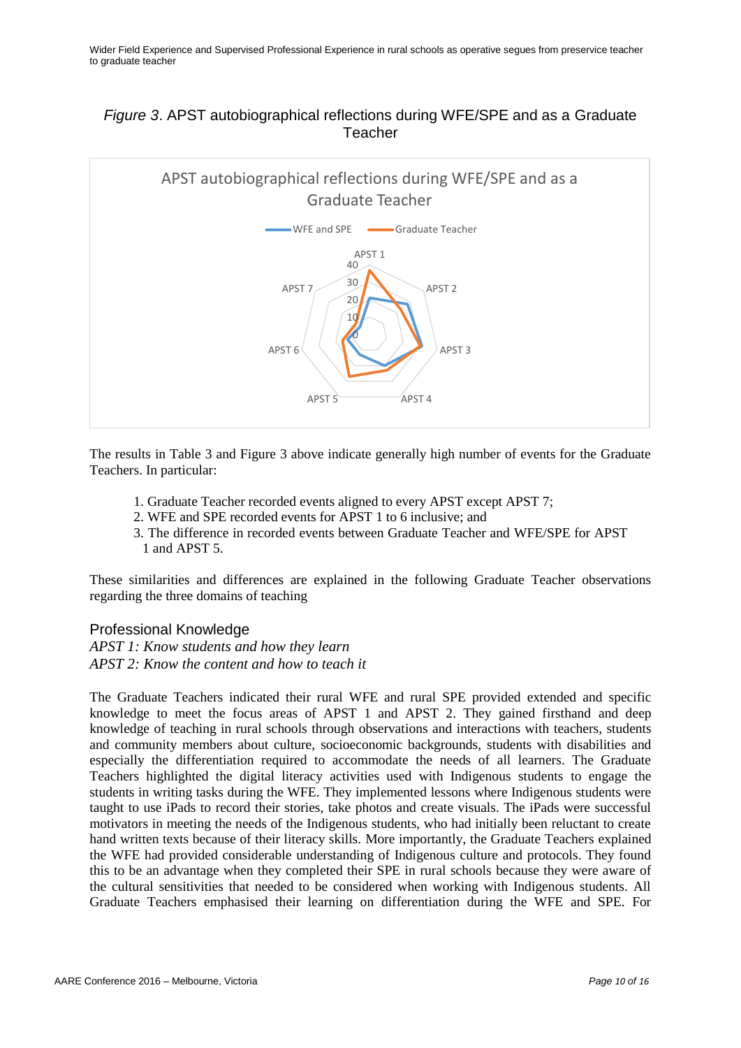# *Figure 3*. APST autobiographical reflections during WFE/SPE and as a Graduate Teacher



The results in Table 3 and Figure 3 above indicate generally high number of events for the Graduate Teachers. In particular:

- 1. Graduate Teacher recorded events aligned to every APST except APST 7;
- 2. WFE and SPE recorded events for APST 1 to 6 inclusive; and
- 3. The difference in recorded events between Graduate Teacher and WFE/SPE for APST 1 and APST 5.

These similarities and differences are explained in the following Graduate Teacher observations regarding the three domains of teaching

#### Professional Knowledge

*APST 1: Know students and how they learn APST 2: Know the content and how to teach it*

The Graduate Teachers indicated their rural WFE and rural SPE provided extended and specific knowledge to meet the focus areas of APST 1 and APST 2. They gained firsthand and deep knowledge of teaching in rural schools through observations and interactions with teachers, students and community members about culture, socioeconomic backgrounds, students with disabilities and especially the differentiation required to accommodate the needs of all learners. The Graduate Teachers highlighted the digital literacy activities used with Indigenous students to engage the students in writing tasks during the WFE. They implemented lessons where Indigenous students were taught to use iPads to record their stories, take photos and create visuals. The iPads were successful motivators in meeting the needs of the Indigenous students, who had initially been reluctant to create hand written texts because of their literacy skills. More importantly, the Graduate Teachers explained the WFE had provided considerable understanding of Indigenous culture and protocols. They found this to be an advantage when they completed their SPE in rural schools because they were aware of the cultural sensitivities that needed to be considered when working with Indigenous students. All Graduate Teachers emphasised their learning on differentiation during the WFE and SPE. For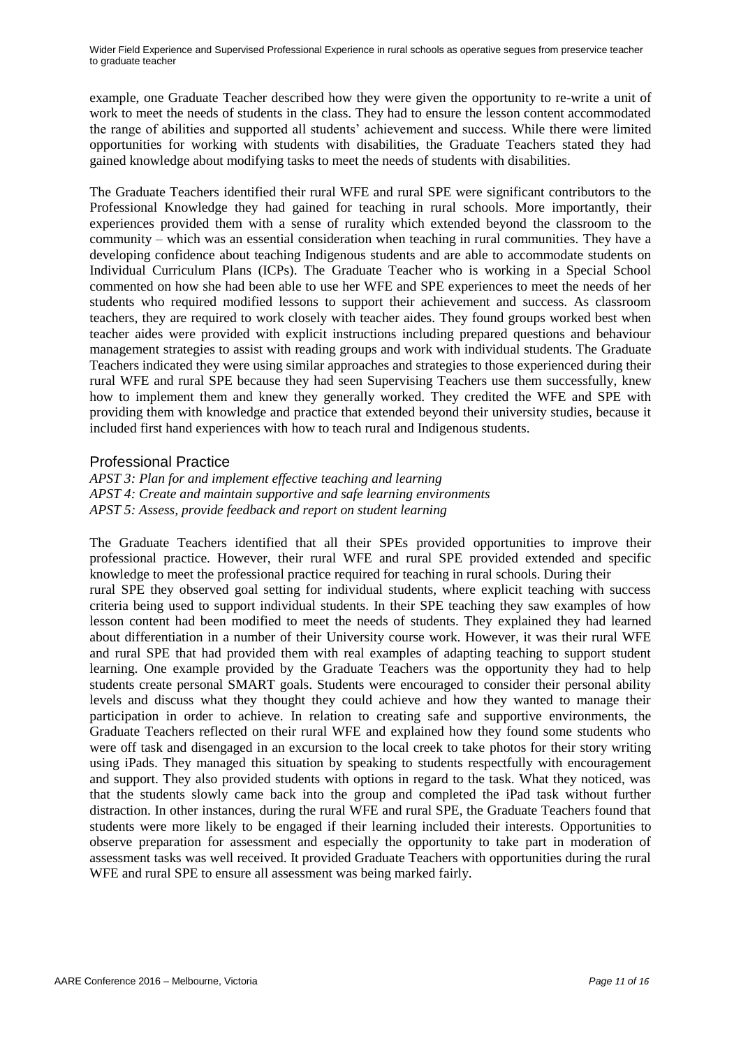example, one Graduate Teacher described how they were given the opportunity to re-write a unit of work to meet the needs of students in the class. They had to ensure the lesson content accommodated the range of abilities and supported all students' achievement and success. While there were limited opportunities for working with students with disabilities, the Graduate Teachers stated they had gained knowledge about modifying tasks to meet the needs of students with disabilities.

The Graduate Teachers identified their rural WFE and rural SPE were significant contributors to the Professional Knowledge they had gained for teaching in rural schools. More importantly, their experiences provided them with a sense of rurality which extended beyond the classroom to the community – which was an essential consideration when teaching in rural communities. They have a developing confidence about teaching Indigenous students and are able to accommodate students on Individual Curriculum Plans (ICPs). The Graduate Teacher who is working in a Special School commented on how she had been able to use her WFE and SPE experiences to meet the needs of her students who required modified lessons to support their achievement and success. As classroom teachers, they are required to work closely with teacher aides. They found groups worked best when teacher aides were provided with explicit instructions including prepared questions and behaviour management strategies to assist with reading groups and work with individual students. The Graduate Teachers indicated they were using similar approaches and strategies to those experienced during their rural WFE and rural SPE because they had seen Supervising Teachers use them successfully, knew how to implement them and knew they generally worked. They credited the WFE and SPE with providing them with knowledge and practice that extended beyond their university studies, because it included first hand experiences with how to teach rural and Indigenous students.

#### Professional Practice

*APST 3: Plan for and implement effective teaching and learning APST 4: Create and maintain supportive and safe learning environments APST 5: Assess, provide feedback and report on student learning*

The Graduate Teachers identified that all their SPEs provided opportunities to improve their professional practice. However, their rural WFE and rural SPE provided extended and specific knowledge to meet the professional practice required for teaching in rural schools. During their rural SPE they observed goal setting for individual students, where explicit teaching with success criteria being used to support individual students. In their SPE teaching they saw examples of how lesson content had been modified to meet the needs of students. They explained they had learned about differentiation in a number of their University course work. However, it was their rural WFE and rural SPE that had provided them with real examples of adapting teaching to support student learning. One example provided by the Graduate Teachers was the opportunity they had to help students create personal SMART goals. Students were encouraged to consider their personal ability levels and discuss what they thought they could achieve and how they wanted to manage their participation in order to achieve. In relation to creating safe and supportive environments, the Graduate Teachers reflected on their rural WFE and explained how they found some students who were off task and disengaged in an excursion to the local creek to take photos for their story writing using iPads. They managed this situation by speaking to students respectfully with encouragement and support. They also provided students with options in regard to the task. What they noticed, was that the students slowly came back into the group and completed the iPad task without further distraction. In other instances, during the rural WFE and rural SPE, the Graduate Teachers found that students were more likely to be engaged if their learning included their interests. Opportunities to observe preparation for assessment and especially the opportunity to take part in moderation of assessment tasks was well received. It provided Graduate Teachers with opportunities during the rural WFE and rural SPE to ensure all assessment was being marked fairly.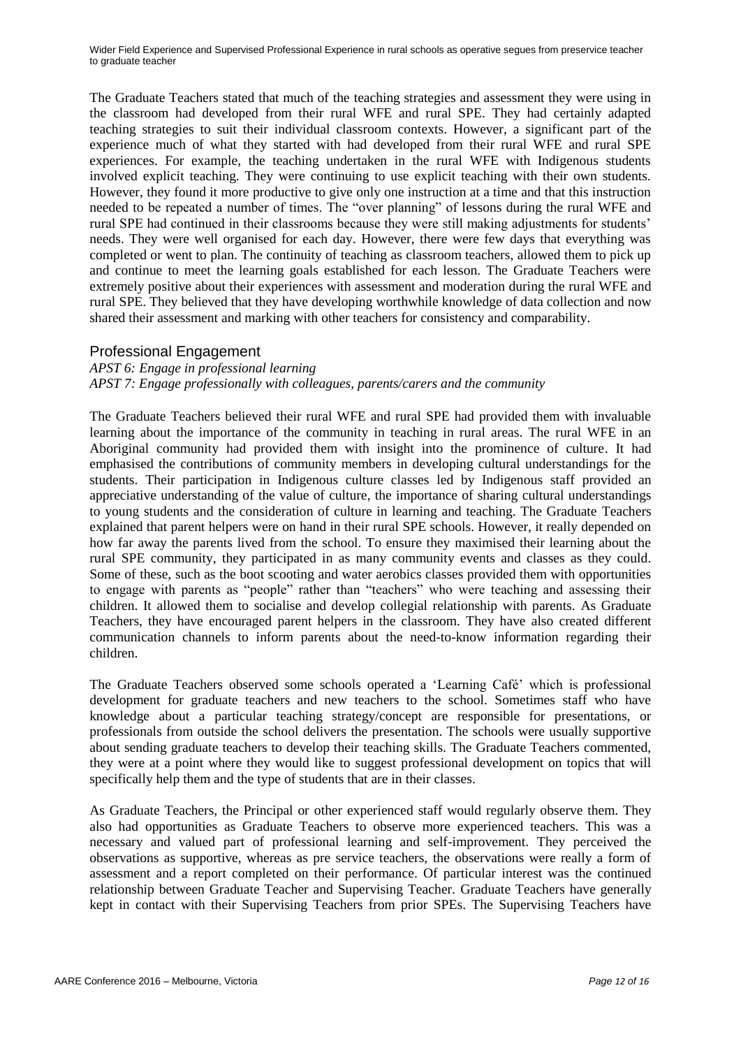The Graduate Teachers stated that much of the teaching strategies and assessment they were using in the classroom had developed from their rural WFE and rural SPE. They had certainly adapted teaching strategies to suit their individual classroom contexts. However, a significant part of the experience much of what they started with had developed from their rural WFE and rural SPE experiences. For example, the teaching undertaken in the rural WFE with Indigenous students involved explicit teaching. They were continuing to use explicit teaching with their own students. However, they found it more productive to give only one instruction at a time and that this instruction needed to be repeated a number of times. The "over planning" of lessons during the rural WFE and rural SPE had continued in their classrooms because they were still making adjustments for students" needs. They were well organised for each day. However, there were few days that everything was completed or went to plan. The continuity of teaching as classroom teachers, allowed them to pick up and continue to meet the learning goals established for each lesson. The Graduate Teachers were extremely positive about their experiences with assessment and moderation during the rural WFE and rural SPE. They believed that they have developing worthwhile knowledge of data collection and now shared their assessment and marking with other teachers for consistency and comparability.

#### Professional Engagement

#### *APST 6: Engage in professional learning*

*APST 7: Engage professionally with colleagues, parents/carers and the community*

The Graduate Teachers believed their rural WFE and rural SPE had provided them with invaluable learning about the importance of the community in teaching in rural areas. The rural WFE in an Aboriginal community had provided them with insight into the prominence of culture. It had emphasised the contributions of community members in developing cultural understandings for the students. Their participation in Indigenous culture classes led by Indigenous staff provided an appreciative understanding of the value of culture, the importance of sharing cultural understandings to young students and the consideration of culture in learning and teaching. The Graduate Teachers explained that parent helpers were on hand in their rural SPE schools. However, it really depended on how far away the parents lived from the school. To ensure they maximised their learning about the rural SPE community, they participated in as many community events and classes as they could. Some of these, such as the boot scooting and water aerobics classes provided them with opportunities to engage with parents as "people" rather than "teachers" who were teaching and assessing their children. It allowed them to socialise and develop collegial relationship with parents. As Graduate Teachers, they have encouraged parent helpers in the classroom. They have also created different communication channels to inform parents about the need-to-know information regarding their children.

The Graduate Teachers observed some schools operated a "Learning Café" which is professional development for graduate teachers and new teachers to the school. Sometimes staff who have knowledge about a particular teaching strategy/concept are responsible for presentations, or professionals from outside the school delivers the presentation. The schools were usually supportive about sending graduate teachers to develop their teaching skills. The Graduate Teachers commented, they were at a point where they would like to suggest professional development on topics that will specifically help them and the type of students that are in their classes.

As Graduate Teachers, the Principal or other experienced staff would regularly observe them. They also had opportunities as Graduate Teachers to observe more experienced teachers. This was a necessary and valued part of professional learning and self-improvement. They perceived the observations as supportive, whereas as pre service teachers, the observations were really a form of assessment and a report completed on their performance. Of particular interest was the continued relationship between Graduate Teacher and Supervising Teacher. Graduate Teachers have generally kept in contact with their Supervising Teachers from prior SPEs. The Supervising Teachers have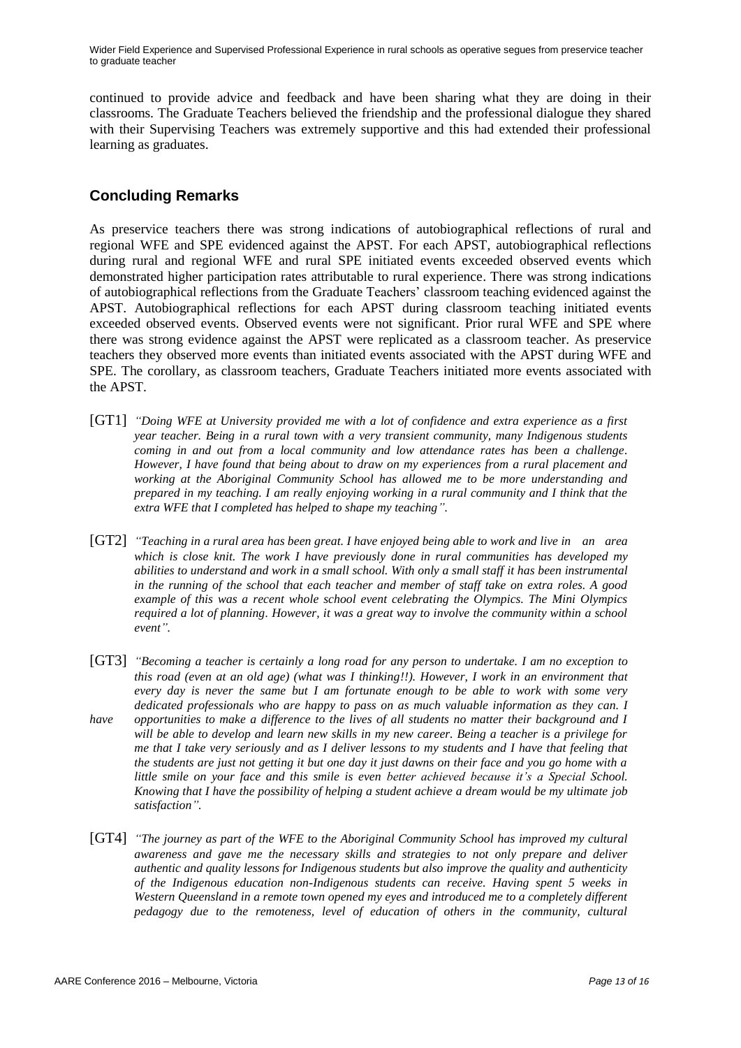continued to provide advice and feedback and have been sharing what they are doing in their classrooms. The Graduate Teachers believed the friendship and the professional dialogue they shared with their Supervising Teachers was extremely supportive and this had extended their professional learning as graduates.

# **Concluding Remarks**

As preservice teachers there was strong indications of autobiographical reflections of rural and regional WFE and SPE evidenced against the APST. For each APST, autobiographical reflections during rural and regional WFE and rural SPE initiated events exceeded observed events which demonstrated higher participation rates attributable to rural experience. There was strong indications of autobiographical reflections from the Graduate Teachers" classroom teaching evidenced against the APST. Autobiographical reflections for each APST during classroom teaching initiated events exceeded observed events. Observed events were not significant. Prior rural WFE and SPE where there was strong evidence against the APST were replicated as a classroom teacher. As preservice teachers they observed more events than initiated events associated with the APST during WFE and SPE. The corollary, as classroom teachers, Graduate Teachers initiated more events associated with the APST.

- [GT1] *"Doing WFE at University provided me with a lot of confidence and extra experience as a first year teacher. Being in a rural town with a very transient community, many Indigenous students coming in and out from a local community and low attendance rates has been a challenge. However, I have found that being about to draw on my experiences from a rural placement and working at the Aboriginal Community School has allowed me to be more understanding and prepared in my teaching. I am really enjoying working in a rural community and I think that the extra WFE that I completed has helped to shape my teaching".*
- [GT2] *"Teaching in a rural area has been great. I have enjoyed being able to work and live in an area which is close knit. The work I have previously done in rural communities has developed my abilities to understand and work in a small school. With only a small staff it has been instrumental in the running of the school that each teacher and member of staff take on extra roles. A good example of this was a recent whole school event celebrating the Olympics. The Mini Olympics required a lot of planning. However, it was a great way to involve the community within a school event".*
- [GT3] *"Becoming a teacher is certainly a long road for any person to undertake. I am no exception to this road (even at an old age) (what was I thinking!!). However, I work in an environment that every day is never the same but I am fortunate enough to be able to work with some very dedicated professionals who are happy to pass on as much valuable information as they can. I have opportunities to make a difference to the lives of all students no matter their background and I will be able to develop and learn new skills in my new career. Being a teacher is a privilege for me that I take very seriously and as I deliver lessons to my students and I have that feeling that the students are just not getting it but one day it just dawns on their face and you go home with a little smile on your face and this smile is even better achieved because it's a Special School. Knowing that I have the possibility of helping a student achieve a dream would be my ultimate job satisfaction".*
- [GT4] *"The journey as part of the WFE to the Aboriginal Community School has improved my cultural awareness and gave me the necessary skills and strategies to not only prepare and deliver authentic and quality lessons for Indigenous students but also improve the quality and authenticity of the Indigenous education non-Indigenous students can receive. Having spent 5 weeks in Western Queensland in a remote town opened my eyes and introduced me to a completely different pedagogy due to the remoteness, level of education of others in the community, cultural*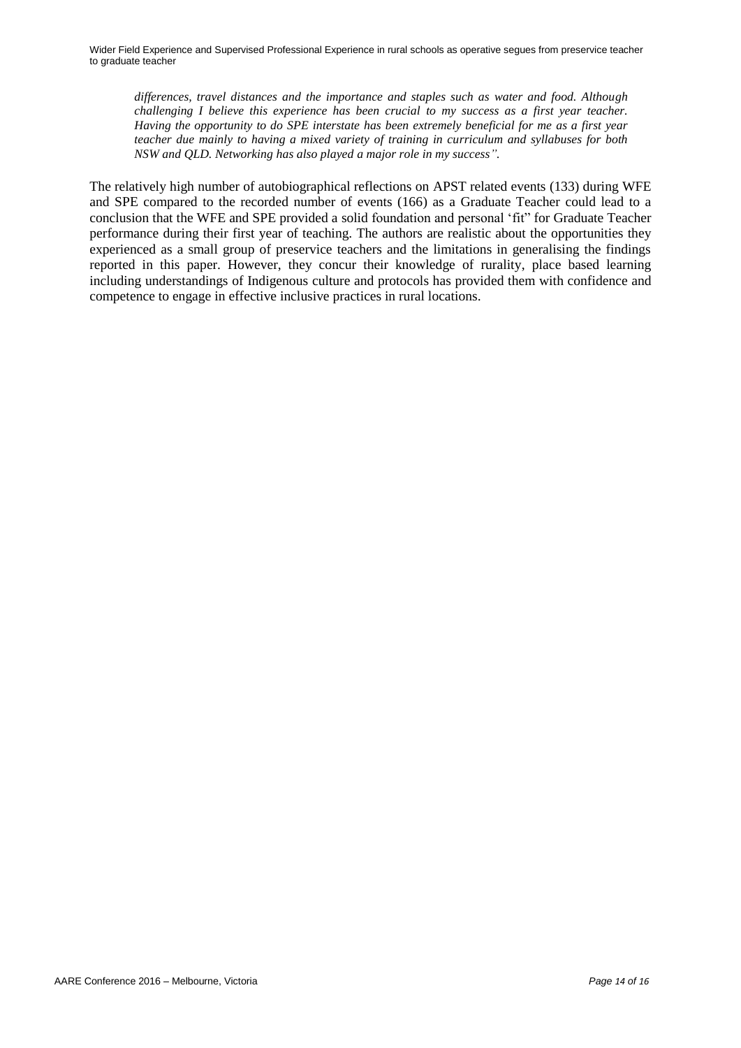*differences, travel distances and the importance and staples such as water and food. Although challenging I believe this experience has been crucial to my success as a first year teacher. Having the opportunity to do SPE interstate has been extremely beneficial for me as a first year teacher due mainly to having a mixed variety of training in curriculum and syllabuses for both NSW and QLD. Networking has also played a major role in my success".*

The relatively high number of autobiographical reflections on APST related events (133) during WFE and SPE compared to the recorded number of events (166) as a Graduate Teacher could lead to a conclusion that the WFE and SPE provided a solid foundation and personal "fit" for Graduate Teacher performance during their first year of teaching. The authors are realistic about the opportunities they experienced as a small group of preservice teachers and the limitations in generalising the findings reported in this paper. However, they concur their knowledge of rurality, place based learning including understandings of Indigenous culture and protocols has provided them with confidence and competence to engage in effective inclusive practices in rural locations.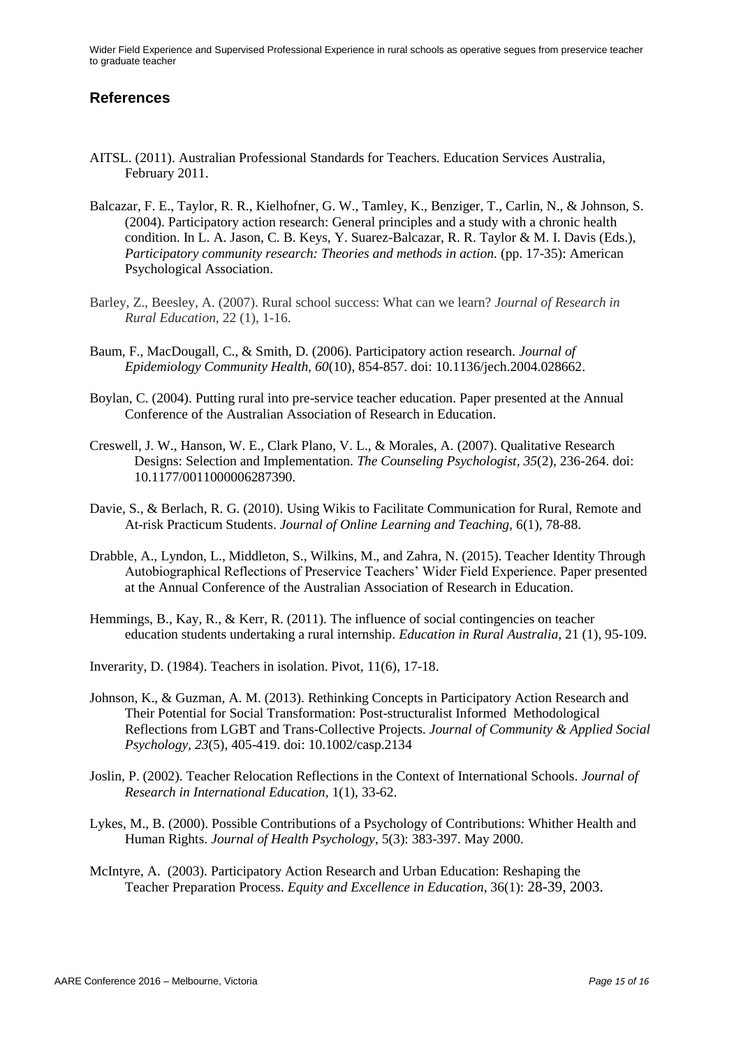### **References**

- AITSL. (2011). Australian Professional Standards for Teachers. Education Services Australia, February 2011.
- Balcazar, F. E., Taylor, R. R., Kielhofner, G. W., Tamley, K., Benziger, T., Carlin, N., & Johnson, S. (2004). Participatory action research: General principles and a study with a chronic health condition. In L. A. Jason, C. B. Keys, Y. Suarez-Balcazar, R. R. Taylor & M. I. Davis (Eds.), *Participatory community research: Theories and methods in action.* (pp. 17-35): American Psychological Association.
- Barley, Z., Beesley, A. (2007). Rural school success: What can we learn? *Journal of Research in Rural Education,* 22 (1), 1-16.
- Baum, F., MacDougall, C., & Smith, D. (2006). Participatory action research. *Journal of Epidemiology Community Health, 60*(10), 854-857. doi: 10.1136/jech.2004.028662.
- Boylan, C. (2004). Putting rural into pre-service teacher education. Paper presented at the Annual Conference of the Australian Association of Research in Education.
- Creswell, J. W., Hanson, W. E., Clark Plano, V. L., & Morales, A. (2007). Qualitative Research Designs: Selection and Implementation. *The Counseling Psychologist, 35*(2), 236-264. doi: 10.1177/0011000006287390.
- Davie, S., & Berlach, R. G. (2010). Using Wikis to Facilitate Communication for Rural, Remote and At-risk Practicum Students. *Journal of Online Learning and Teaching,* 6(1), 78-88.
- Drabble, A., Lyndon, L., Middleton, S., Wilkins, M., and Zahra, N. (2015). Teacher Identity Through Autobiographical Reflections of Preservice Teachers" Wider Field Experience. Paper presented at the Annual Conference of the Australian Association of Research in Education.
- Hemmings, B., Kay, R., & Kerr, R. (2011). The influence of social contingencies on teacher education students undertaking a rural internship. *Education in Rural Australia,* 21 (1), 95-109.
- Inverarity, D. (1984). Teachers in isolation. Pivot, 11(6), 17-18.
- Johnson, K., & Guzman, A. M. (2013). Rethinking Concepts in Participatory Action Research and Their Potential for Social Transformation: Post-structuralist Informed Methodological Reflections from LGBT and Trans-Collective Projects. *Journal of Community & Applied Social Psychology, 23*(5), 405-419. doi: 10.1002/casp.2134
- Joslin, P. (2002). Teacher Relocation Reflections in the Context of International Schools. *Journal of Research in International Education,* 1(1), 33-62.
- Lykes, M., B. (2000). Possible Contributions of a Psychology of Contributions: Whither Health and Human Rights. *Journal of Health Psychology*, 5(3): 383-397. May 2000.
- McIntyre, A. (2003). Participatory Action Research and Urban Education: Reshaping the Teacher Preparation Process. *Equity and Excellence in Education*, 36(1): 28-39, 2003.